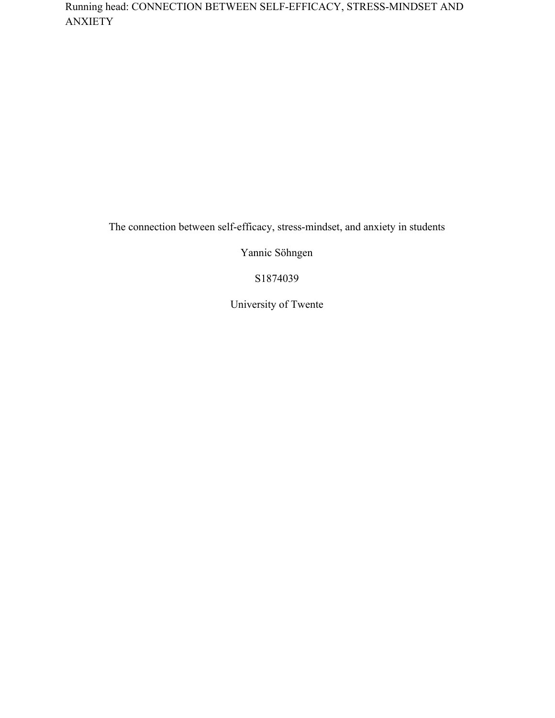Running head: CONNECTION BETWEEN SELF-EFFICACY, STRESS-MINDSET AND ANXIETY

The connection between self-efficacy, stress-mindset, and anxiety in students

Yannic Söhngen

S1874039

University of Twente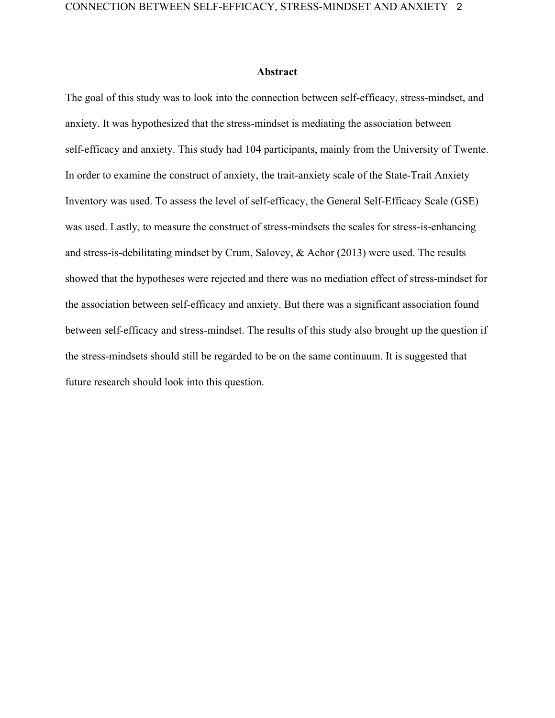## **Abstract**

The goal of this study was to look into the connection between self-efficacy, stress-mindset, and anxiety. It was hypothesized that the stress-mindset is mediating the association between self-efficacy and anxiety. This study had 104 participants, mainly from the University of Twente. In order to examine the construct of anxiety, the trait-anxiety scale of the State-Trait Anxiety Inventory was used. To assess the level of self-efficacy, the General Self-Efficacy Scale (GSE) was used. Lastly, to measure the construct of stress-mindsets the scales for stress-is-enhancing and stress-is-debilitating mindset by Crum, Salovey, & Achor (2013) were used. The results showed that the hypotheses were rejected and there was no mediation effect of stress-mindset for the association between self-efficacy and anxiety. But there was a significant association found between self-efficacy and stress-mindset. The results of this study also brought up the question if the stress-mindsets should still be regarded to be on the same continuum. It is suggested that future research should look into this question.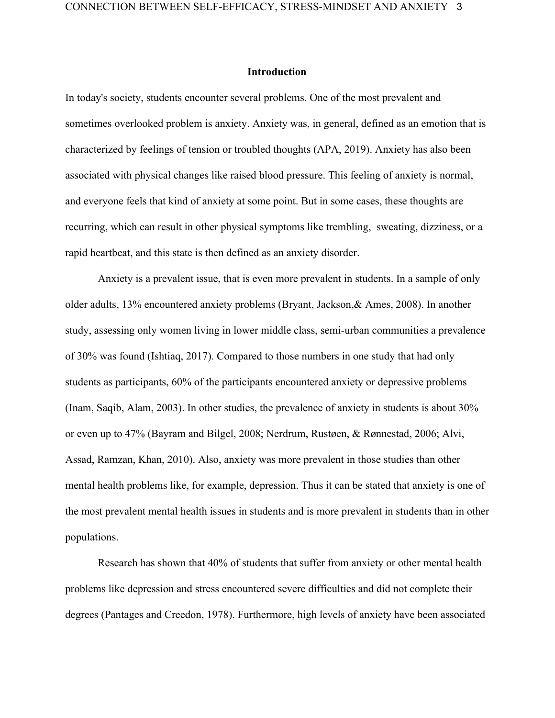## **Introduction**

In today's society, students encounter several problems. One of the most prevalent and sometimes overlooked problem is anxiety. Anxiety was, in general, defined as an emotion that is characterized by feelings of tension or troubled thoughts (APA, 2019). Anxiety has also been associated with physical changes like raised blood pressure. This feeling of anxiety is normal, and everyone feels that kind of anxiety at some point. But in some cases, these thoughts are recurring, which can result in other physical symptoms like trembling, sweating, dizziness, or a rapid heartbeat, and this state is then defined as an anxiety disorder.

Anxiety is a prevalent issue, that is even more prevalent in students. In a sample of only older adults, 13% encountered anxiety problems (Bryant, Jackson,& Ames, 2008). In another study, assessing only women living in lower middle class, semi-urban communities a prevalence of 30% was found (Ishtiaq, 2017). Compared to those numbers in one study that had only students as participants, 60% of the participants encountered anxiety or depressive problems (Inam, Saqib, Alam, 2003). In other studies, the prevalence of anxiety in students is about 30% or even up to 47% (Bayram and Bilgel, 2008; Nerdrum, Rustøen, & Rønnestad, 2006; Alvi, Assad, Ramzan, Khan, 2010). Also, anxiety was more prevalent in those studies than other mental health problems like, for example, depression. Thus it can be stated that anxiety is one of the most prevalent mental health issues in students and is more prevalent in students than in other populations.

Research has shown that 40% of students that suffer from anxiety or other mental health problems like depression and stress encountered severe difficulties and did not complete their degrees (Pantages and Creedon, 1978). Furthermore, high levels of anxiety have been associated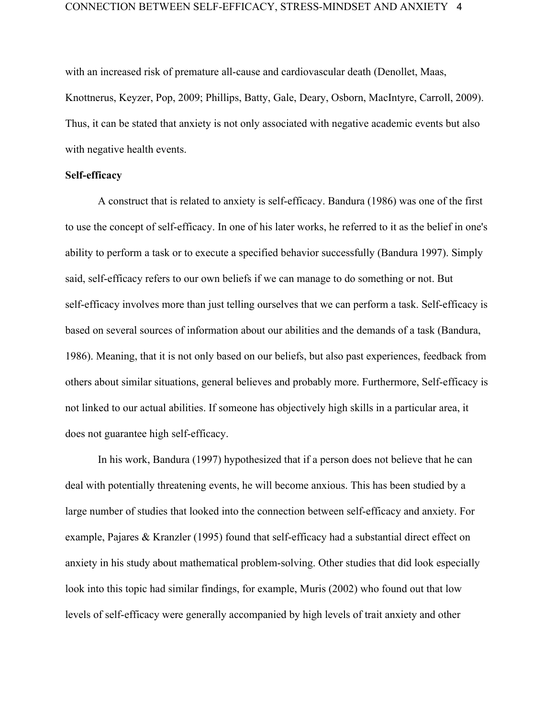with an increased risk of premature all-cause and cardiovascular death (Denollet, Maas, Knottnerus, Keyzer, Pop, 2009; Phillips, Batty, Gale, Deary, Osborn, MacIntyre, Carroll, 2009). Thus, it can be stated that anxiety is not only associated with negative academic events but also with negative health events.

## **Self-efficacy**

A construct that is related to anxiety is self-efficacy. Bandura (1986) was one of the first to use the concept of self-efficacy. In one of his later works, he referred to it as the belief in one's ability to perform a task or to execute a specified behavior successfully (Bandura 1997). Simply said, self-efficacy refers to our own beliefs if we can manage to do something or not. But self-efficacy involves more than just telling ourselves that we can perform a task. Self-efficacy is based on several sources of information about our abilities and the demands of a task (Bandura, 1986). Meaning, that it is not only based on our beliefs, but also past experiences, feedback from others about similar situations, general believes and probably more. Furthermore, Self-efficacy is not linked to our actual abilities. If someone has objectively high skills in a particular area, it does not guarantee high self-efficacy.

In his work, Bandura (1997) hypothesized that if a person does not believe that he can deal with potentially threatening events, he will become anxious. This has been studied by a large number of studies that looked into the connection between self-efficacy and anxiety. For example, Pajares & Kranzler (1995) found that self-efficacy had a substantial direct effect on anxiety in his study about mathematical problem-solving. Other studies that did look especially look into this topic had similar findings, for example, Muris (2002) who found out that low levels of self-efficacy were generally accompanied by high levels of trait anxiety and other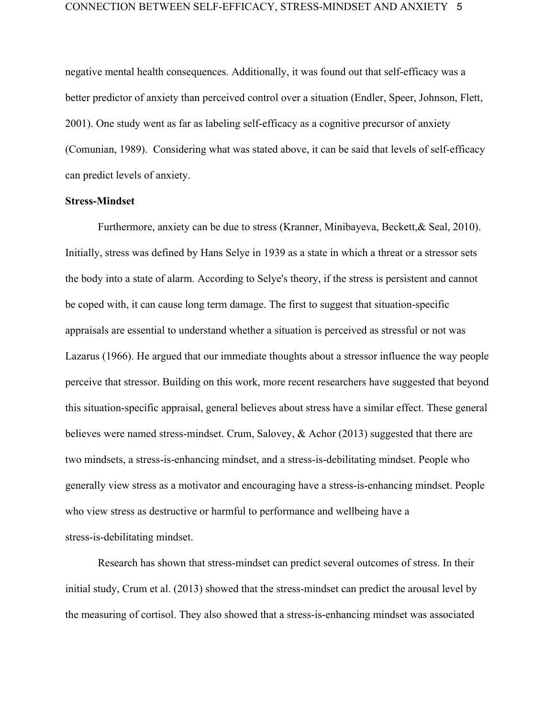negative mental health consequences. Additionally, it was found out that self-efficacy was a better predictor of anxiety than perceived control over a situation (Endler, Speer, Johnson, Flett, 2001). One study went as far as labeling self-efficacy as a cognitive precursor of anxiety (Comunian, 1989). Considering what was stated above, it can be said that levels of self-efficacy can predict levels of anxiety.

## **Stress-Mindset**

Furthermore, anxiety can be due to stress (Kranner, Minibayeva, Beckett,& Seal, 2010). Initially, stress was defined by Hans Selye in 1939 as a state in which a threat or a stressor sets the body into a state of alarm. According to Selye's theory, if the stress is persistent and cannot be coped with, it can cause long term damage. The first to suggest that situation-specific appraisals are essential to understand whether a situation is perceived as stressful or not was Lazarus (1966). He argued that our immediate thoughts about a stressor influence the way people perceive that stressor. Building on this work, more recent researchers have suggested that beyond this situation-specific appraisal, general believes about stress have a similar effect. These general believes were named stress-mindset. Crum, Salovey, & Achor (2013) suggested that there are two mindsets, a stress-is-enhancing mindset, and a stress-is-debilitating mindset. People who generally view stress as a motivator and encouraging have a stress-is-enhancing mindset. People who view stress as destructive or harmful to performance and wellbeing have a stress-is-debilitating mindset.

Research has shown that stress-mindset can predict several outcomes of stress. In their initial study, Crum et al. (2013) showed that the stress-mindset can predict the arousal level by the measuring of cortisol. They also showed that a stress-is-enhancing mindset was associated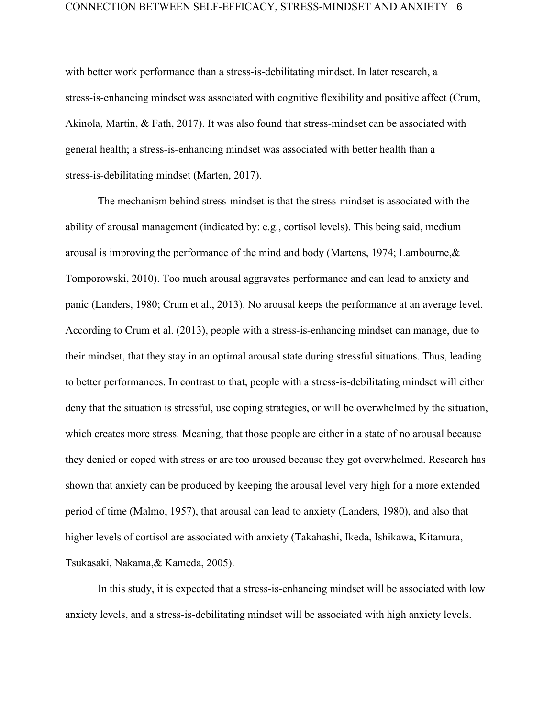with better work performance than a stress-is-debilitating mindset. In later research, a stress-is-enhancing mindset was associated with cognitive flexibility and positive affect (Crum, Akinola, Martin, & Fath, 2017). It was also found that stress-mindset can be associated with general health; a stress-is-enhancing mindset was associated with better health than a stress-is-debilitating mindset (Marten, 2017).

The mechanism behind stress-mindset is that the stress-mindset is associated with the ability of arousal management (indicated by: e.g., cortisol levels). This being said, medium arousal is improving the performance of the mind and body (Martens, 1974; Lambourne,& Tomporowski, 2010). Too much arousal aggravates performance and can lead to anxiety and panic (Landers, 1980; Crum et al., 2013). No arousal keeps the performance at an average level. According to Crum et al. (2013), people with a stress-is-enhancing mindset can manage, due to their mindset, that they stay in an optimal arousal state during stressful situations. Thus, leading to better performances. In contrast to that, people with a stress-is-debilitating mindset will either deny that the situation is stressful, use coping strategies, or will be overwhelmed by the situation, which creates more stress. Meaning, that those people are either in a state of no arousal because they denied or coped with stress or are too aroused because they got overwhelmed. Research has shown that anxiety can be produced by keeping the arousal level very high for a more extended period of time (Malmo, 1957), that arousal can lead to anxiety (Landers, 1980), and also that higher levels of cortisol are associated with anxiety (Takahashi, Ikeda, Ishikawa, Kitamura, Tsukasaki, Nakama,& Kameda, 2005).

In this study, it is expected that a stress-is-enhancing mindset will be associated with low anxiety levels, and a stress-is-debilitating mindset will be associated with high anxiety levels.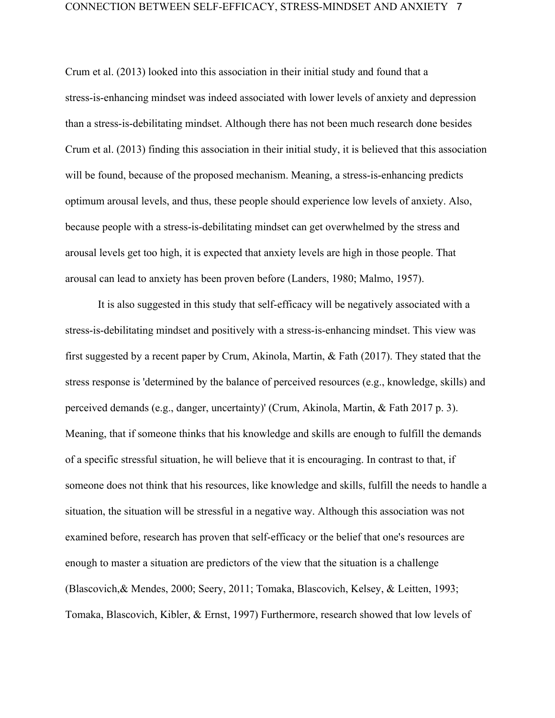Crum et al. (2013) looked into this association in their initial study and found that a stress-is-enhancing mindset was indeed associated with lower levels of anxiety and depression than a stress-is-debilitating mindset. Although there has not been much research done besides Crum et al. (2013) finding this association in their initial study, it is believed that this association will be found, because of the proposed mechanism. Meaning, a stress-is-enhancing predicts optimum arousal levels, and thus, these people should experience low levels of anxiety. Also, because people with a stress-is-debilitating mindset can get overwhelmed by the stress and arousal levels get too high, it is expected that anxiety levels are high in those people. That arousal can lead to anxiety has been proven before (Landers, 1980; Malmo, 1957).

It is also suggested in this study that self-efficacy will be negatively associated with a stress-is-debilitating mindset and positively with a stress-is-enhancing mindset. This view was first suggested by a recent paper by Crum, Akinola, Martin, & Fath (2017). They stated that the stress response is 'determined by the balance of perceived resources (e.g., knowledge, skills) and perceived demands (e.g., danger, uncertainty)' (Crum, Akinola, Martin, & Fath 2017 p. 3). Meaning, that if someone thinks that his knowledge and skills are enough to fulfill the demands of a specific stressful situation, he will believe that it is encouraging. In contrast to that, if someone does not think that his resources, like knowledge and skills, fulfill the needs to handle a situation, the situation will be stressful in a negative way. Although this association was not examined before, research has proven that self-efficacy or the belief that one's resources are enough to master a situation are predictors of the view that the situation is a challenge (Blascovich,& Mendes, 2000; Seery, 2011; Tomaka, Blascovich, Kelsey, & Leitten, 1993; Tomaka, Blascovich, Kibler, & Ernst, 1997) Furthermore, research showed that low levels of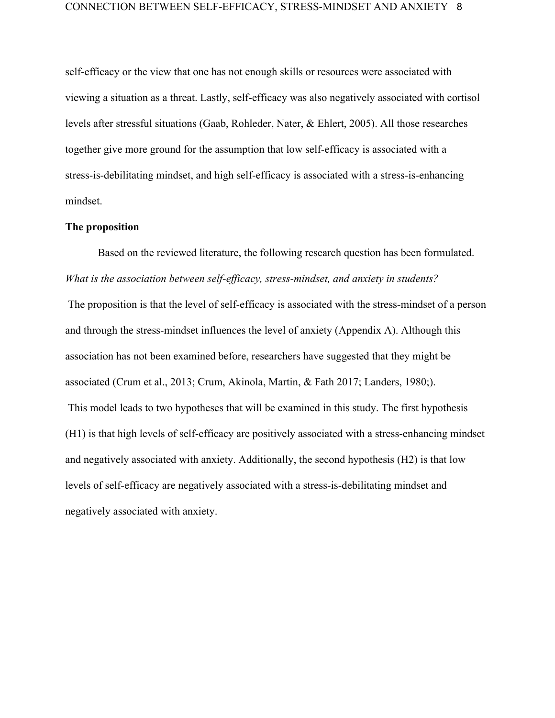self-efficacy or the view that one has not enough skills or resources were associated with viewing a situation as a threat. Lastly, self-efficacy was also negatively associated with cortisol levels after stressful situations (Gaab, Rohleder, Nater, & Ehlert, 2005). All those researches together give more ground for the assumption that low self-efficacy is associated with a stress-is-debilitating mindset, and high self-efficacy is associated with a stress-is-enhancing mindset.

## **The proposition**

Based on the reviewed literature, the following research question has been formulated. *What is the association between self-efficacy, stress-mindset, and anxiety in students?*

 The proposition is that the level of self-efficacy is associated with the stress-mindset of a person and through the stress-mindset influences the level of anxiety (Appendix A). Although this association has not been examined before, researchers have suggested that they might be associated (Crum et al., 2013; Crum, Akinola, Martin, & Fath 2017; Landers, 1980;). This model leads to two hypotheses that will be examined in this study. The first hypothesis (H1) is that high levels of self-efficacy are positively associated with a stress-enhancing mindset and negatively associated with anxiety. Additionally, the second hypothesis (H2) is that low levels of self-efficacy are negatively associated with a stress-is-debilitating mindset and negatively associated with anxiety.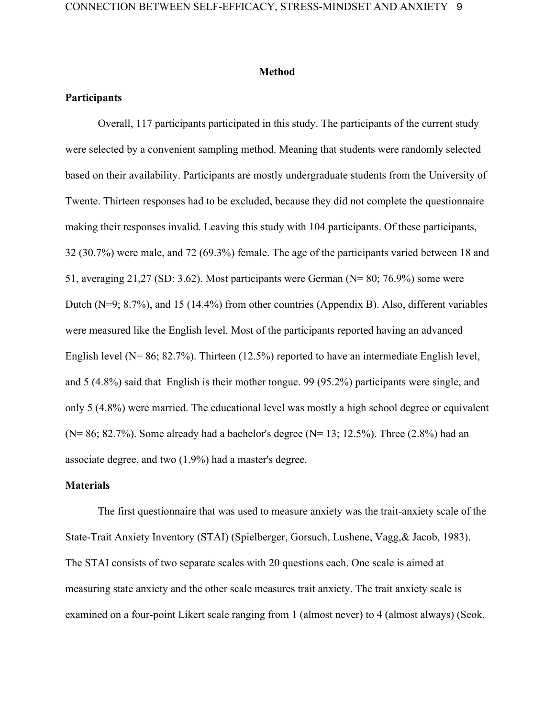## **Method**

# **Participants**

Overall, 117 participants participated in this study. The participants of the current study were selected by a convenient sampling method. Meaning that students were randomly selected based on their availability. Participants are mostly undergraduate students from the University of Twente. Thirteen responses had to be excluded, because they did not complete the questionnaire making their responses invalid. Leaving this study with 104 participants. Of these participants, 32 (30.7%) were male, and 72 (69.3%) female. The age of the participants varied between 18 and 51, averaging 21,27 (SD: 3.62). Most participants were German (N= 80; 76.9%) some were Dutch (N=9; 8.7%), and 15 (14.4%) from other countries (Appendix B). Also, different variables were measured like the English level. Most of the participants reported having an advanced English level (N= 86; 82.7%). Thirteen (12.5%) reported to have an intermediate English level, and 5 (4.8%) said that English is their mother tongue. 99 (95.2%) participants were single, and only 5 (4.8%) were married. The educational level was mostly a high school degree or equivalent ( $N= 86$ ; 82.7%). Some already had a bachelor's degree ( $N= 13$ ; 12.5%). Three (2.8%) had an associate degree, and two (1.9%) had a master's degree.

## **Materials**

The first questionnaire that was used to measure anxiety was the trait-anxiety scale of the State-Trait Anxiety Inventory (STAI) (Spielberger, Gorsuch, Lushene, Vagg,& Jacob, 1983). The STAI consists of two separate scales with 20 questions each. One scale is aimed at measuring state anxiety and the other scale measures trait anxiety. The trait anxiety scale is examined on a four-point Likert scale ranging from 1 (almost never) to 4 (almost always) (Seok,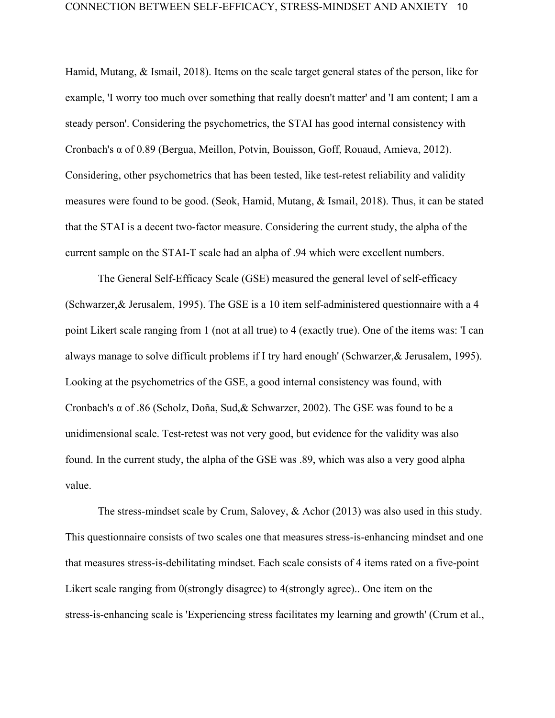Hamid, Mutang, & Ismail, 2018). Items on the scale target general states of the person, like for example, 'I worry too much over something that really doesn't matter' and 'I am content; I am a steady person'. Considering the psychometrics, the STAI has good internal consistency with Cronbach's α of 0.89 (Bergua, Meillon, Potvin, Bouisson, Goff, Rouaud, Amieva, 2012). Considering, other psychometrics that has been tested, like test-retest reliability and validity measures were found to be good. (Seok, Hamid, Mutang, & Ismail, 2018). Thus, it can be stated that the STAI is a decent two-factor measure. Considering the current study, the alpha of the current sample on the STAI-T scale had an alpha of .94 which were excellent numbers.

The General Self-Efficacy Scale (GSE) measured the general level of self-efficacy (Schwarzer,& Jerusalem, 1995). The GSE is a 10 item self-administered questionnaire with a 4 point Likert scale ranging from 1 (not at all true) to 4 (exactly true). One of the items was: 'I can always manage to solve difficult problems if I try hard enough' (Schwarzer,& Jerusalem, 1995). Looking at the psychometrics of the GSE, a good internal consistency was found, with Cronbach's α of .86 (Scholz, Doña, Sud,& Schwarzer, 2002). The GSE was found to be a unidimensional scale. Test-retest was not very good, but evidence for the validity was also found. In the current study, the alpha of the GSE was .89, which was also a very good alpha value.

The stress-mindset scale by Crum, Salovey, & Achor (2013) was also used in this study. This questionnaire consists of two scales one that measures stress-is-enhancing mindset and one that measures stress-is-debilitating mindset. Each scale consists of 4 items rated on a five-point Likert scale ranging from 0(strongly disagree) to 4(strongly agree).. One item on the stress-is-enhancing scale is 'Experiencing stress facilitates my learning and growth' (Crum et al.,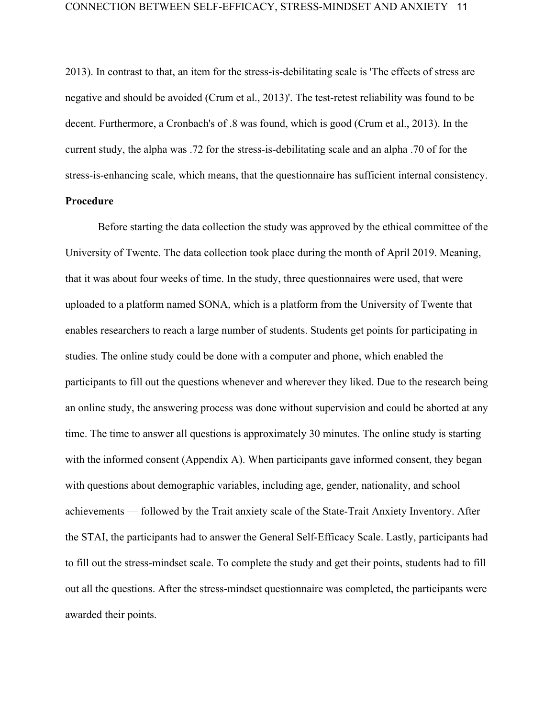2013). In contrast to that, an item for the stress-is-debilitating scale is 'The effects of stress are negative and should be avoided (Crum et al., 2013)'. The test-retest reliability was found to be decent. Furthermore, a Cronbach's of .8 was found, which is good (Crum et al., 2013). In the current study, the alpha was .72 for the stress-is-debilitating scale and an alpha .70 of for the stress-is-enhancing scale, which means, that the questionnaire has sufficient internal consistency.

# **Procedure**

Before starting the data collection the study was approved by the ethical committee of the University of Twente. The data collection took place during the month of April 2019. Meaning, that it was about four weeks of time. In the study, three questionnaires were used, that were uploaded to a platform named SONA, which is a platform from the University of Twente that enables researchers to reach a large number of students. Students get points for participating in studies. The online study could be done with a computer and phone, which enabled the participants to fill out the questions whenever and wherever they liked. Due to the research being an online study, the answering process was done without supervision and could be aborted at any time. The time to answer all questions is approximately 30 minutes. The online study is starting with the informed consent (Appendix A). When participants gave informed consent, they began with questions about demographic variables, including age, gender, nationality, and school achievements — followed by the Trait anxiety scale of the State-Trait Anxiety Inventory. After the STAI, the participants had to answer the General Self-Efficacy Scale. Lastly, participants had to fill out the stress-mindset scale. To complete the study and get their points, students had to fill out all the questions. After the stress-mindset questionnaire was completed, the participants were awarded their points.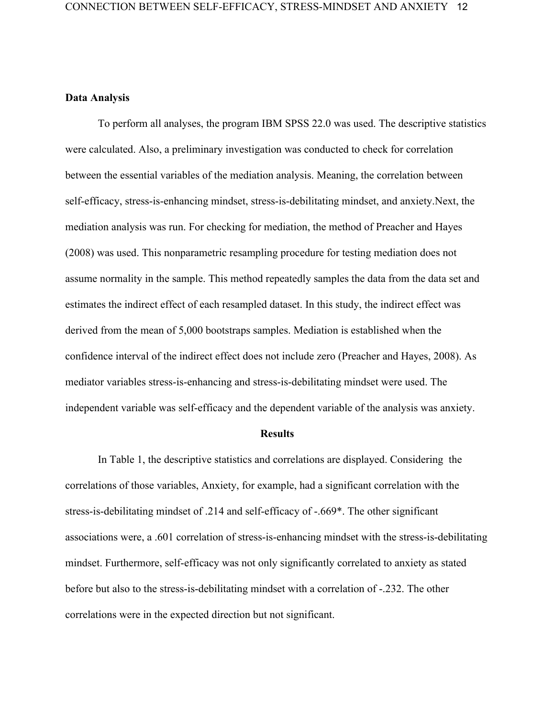## **Data Analysis**

To perform all analyses, the program IBM SPSS 22.0 was used. The descriptive statistics were calculated. Also, a preliminary investigation was conducted to check for correlation between the essential variables of the mediation analysis. Meaning, the correlation between self-efficacy, stress-is-enhancing mindset, stress-is-debilitating mindset, and anxiety.Next, the mediation analysis was run. For checking for mediation, the method of Preacher and Hayes (2008) was used. This nonparametric resampling procedure for testing mediation does not assume normality in the sample. This method repeatedly samples the data from the data set and estimates the indirect effect of each resampled dataset. In this study, the indirect effect was derived from the mean of 5,000 bootstraps samples. Mediation is established when the confidence interval of the indirect effect does not include zero (Preacher and Hayes, 2008). As mediator variables stress-is-enhancing and stress-is-debilitating mindset were used. The independent variable was self-efficacy and the dependent variable of the analysis was anxiety.

#### **Results**

In Table 1, the descriptive statistics and correlations are displayed. Considering the correlations of those variables, Anxiety, for example, had a significant correlation with the stress-is-debilitating mindset of .214 and self-efficacy of -.669\*. The other significant associations were, a .601 correlation of stress-is-enhancing mindset with the stress-is-debilitating mindset. Furthermore, self-efficacy was not only significantly correlated to anxiety as stated before but also to the stress-is-debilitating mindset with a correlation of -.232. The other correlations were in the expected direction but not significant.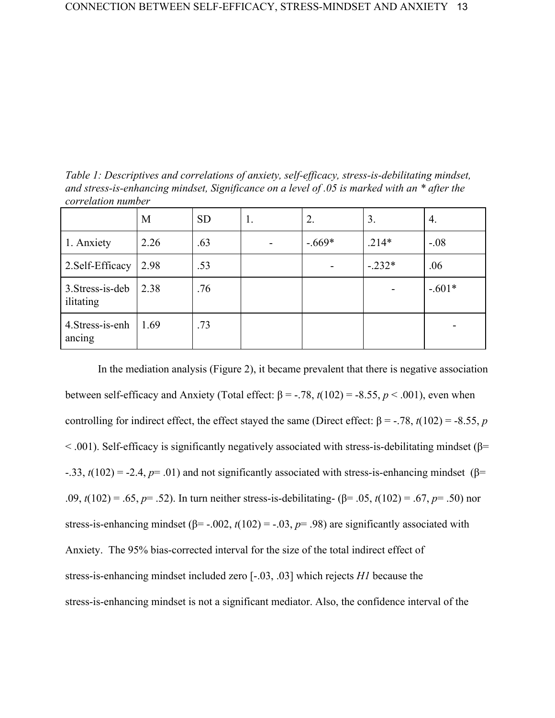*Table 1: Descriptives and correlations of anxiety, self-efficacy, stress-is-debilitating mindset, and stress-is-enhancing mindset, Significance on a level of .05 is marked with an \* after the correlation number*

|                               | M    | <b>SD</b> | 1. | 2.       | 3.       | 4.       |
|-------------------------------|------|-----------|----|----------|----------|----------|
| 1. Anxiety                    | 2.26 | .63       |    | $-.669*$ | $.214*$  | $-.08$   |
| 2. Self-Efficacy              | 2.98 | .53       |    |          | $-.232*$ | .06      |
| 3. Stress-is-deb<br>ilitating | 2.38 | .76       |    |          |          | $-.601*$ |
| 4. Stress-is-enh<br>ancing    | 1.69 | .73       |    |          |          |          |

In the mediation analysis (Figure 2), it became prevalent that there is negative association between self-efficacy and Anxiety (Total effect:  $β = -.78$ ,  $t(102) = -8.55$ ,  $p < .001$ ), even when controlling for indirect effect, the effect stayed the same (Direct effect:  $\beta$  = -.78, *t*(102) = -8.55, *p*  $<$  001). Self-efficacy is significantly negatively associated with stress-is-debilitating mindset (β= -.33,  $t(102) = -2.4$ ,  $p= .01$ ) and not significantly associated with stress-is-enhancing mindset (β= .09, *t*(102) = .65, *p*= .52). In turn neither stress-is-debilitating- (β= .05, *t*(102) = .67, *p*= .50) nor stress-is-enhancing mindset ( $\beta$ = -.002, *t*(102) = -.03, *p*= .98) are significantly associated with Anxiety. The 95% bias-corrected interval for the size of the total indirect effect of stress-is-enhancing mindset included zero [-.03, .03] which rejects *H1* because the stress-is-enhancing mindset is not a significant mediator. Also, the confidence interval of the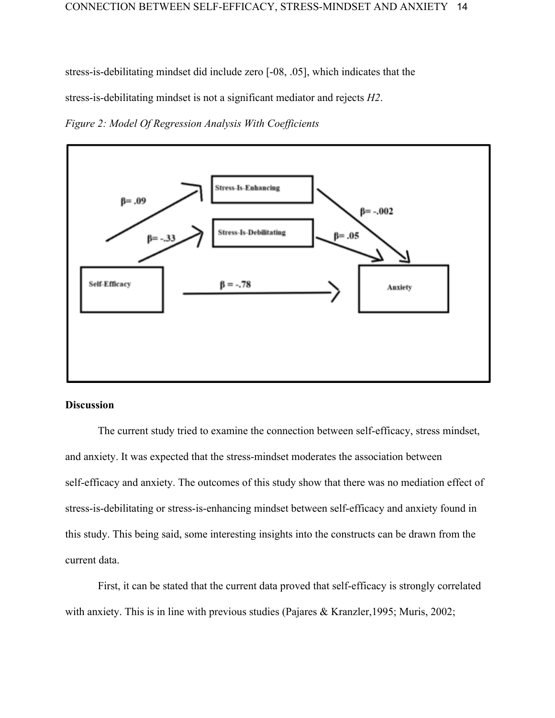stress-is-debilitating mindset did include zero [-08, .05], which indicates that the

stress-is-debilitating mindset is not a significant mediator and rejects *H2*.

*Figure 2: Model Of Regression Analysis With Coefficients*



# **Discussion**

The current study tried to examine the connection between self-efficacy, stress mindset, and anxiety. It was expected that the stress-mindset moderates the association between self-efficacy and anxiety. The outcomes of this study show that there was no mediation effect of stress-is-debilitating or stress-is-enhancing mindset between self-efficacy and anxiety found in this study. This being said, some interesting insights into the constructs can be drawn from the current data.

First, it can be stated that the current data proved that self-efficacy is strongly correlated with anxiety. This is in line with previous studies (Pajares & Kranzler, 1995; Muris, 2002;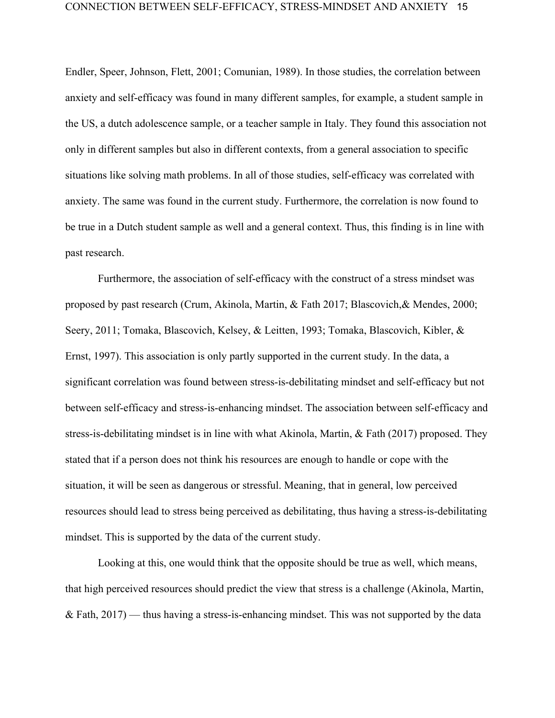Endler, Speer, Johnson, Flett, 2001; Comunian, 1989). In those studies, the correlation between anxiety and self-efficacy was found in many different samples, for example, a student sample in the US, a dutch adolescence sample, or a teacher sample in Italy. They found this association not only in different samples but also in different contexts, from a general association to specific situations like solving math problems. In all of those studies, self-efficacy was correlated with anxiety. The same was found in the current study. Furthermore, the correlation is now found to be true in a Dutch student sample as well and a general context. Thus, this finding is in line with past research.

Furthermore, the association of self-efficacy with the construct of a stress mindset was proposed by past research (Crum, Akinola, Martin, & Fath 2017; Blascovich,& Mendes, 2000; Seery, 2011; Tomaka, Blascovich, Kelsey, & Leitten, 1993; Tomaka, Blascovich, Kibler, & Ernst, 1997). This association is only partly supported in the current study. In the data, a significant correlation was found between stress-is-debilitating mindset and self-efficacy but not between self-efficacy and stress-is-enhancing mindset. The association between self-efficacy and stress-is-debilitating mindset is in line with what Akinola, Martin, & Fath (2017) proposed. They stated that if a person does not think his resources are enough to handle or cope with the situation, it will be seen as dangerous or stressful. Meaning, that in general, low perceived resources should lead to stress being perceived as debilitating, thus having a stress-is-debilitating mindset. This is supported by the data of the current study.

Looking at this, one would think that the opposite should be true as well, which means, that high perceived resources should predict the view that stress is a challenge (Akinola, Martin,  $&$  Fath, 2017) — thus having a stress-is-enhancing mindset. This was not supported by the data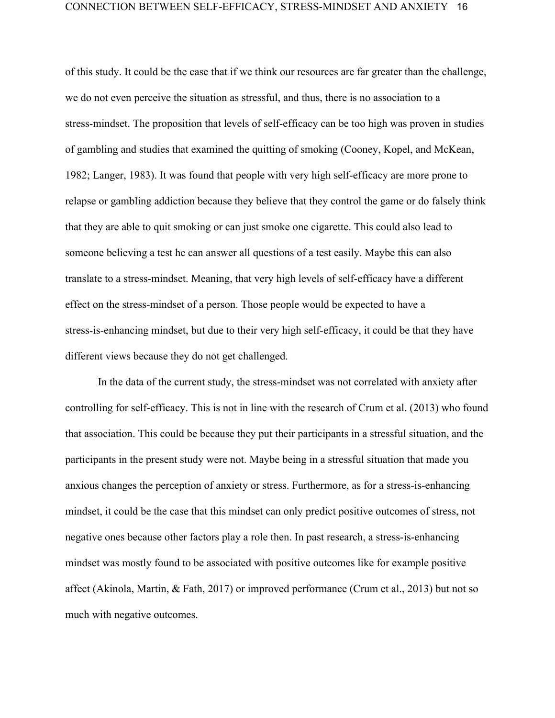of this study. It could be the case that if we think our resources are far greater than the challenge, we do not even perceive the situation as stressful, and thus, there is no association to a stress-mindset. The proposition that levels of self-efficacy can be too high was proven in studies of gambling and studies that examined the quitting of smoking (Cooney, Kopel, and McKean, 1982; Langer, 1983). It was found that people with very high self-efficacy are more prone to relapse or gambling addiction because they believe that they control the game or do falsely think that they are able to quit smoking or can just smoke one cigarette. This could also lead to someone believing a test he can answer all questions of a test easily. Maybe this can also translate to a stress-mindset. Meaning, that very high levels of self-efficacy have a different effect on the stress-mindset of a person. Those people would be expected to have a stress-is-enhancing mindset, but due to their very high self-efficacy, it could be that they have different views because they do not get challenged.

In the data of the current study, the stress-mindset was not correlated with anxiety after controlling for self-efficacy. This is not in line with the research of Crum et al. (2013) who found that association. This could be because they put their participants in a stressful situation, and the participants in the present study were not. Maybe being in a stressful situation that made you anxious changes the perception of anxiety or stress. Furthermore, as for a stress-is-enhancing mindset, it could be the case that this mindset can only predict positive outcomes of stress, not negative ones because other factors play a role then. In past research, a stress-is-enhancing mindset was mostly found to be associated with positive outcomes like for example positive affect (Akinola, Martin, & Fath, 2017) or improved performance (Crum et al., 2013) but not so much with negative outcomes.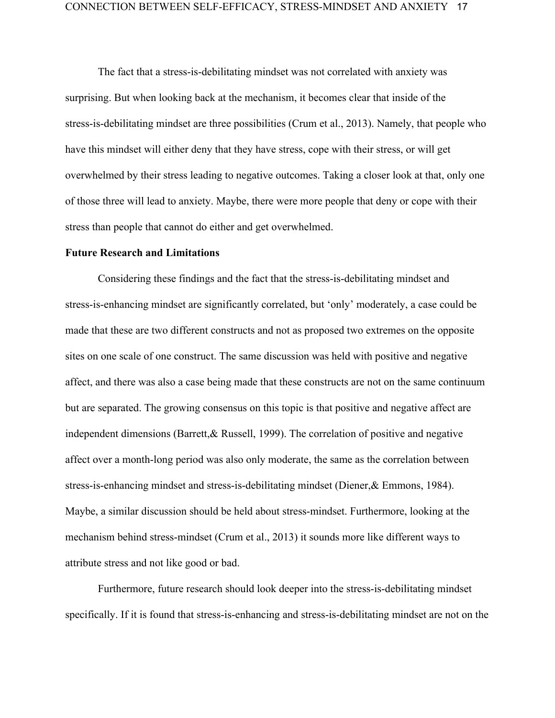The fact that a stress-is-debilitating mindset was not correlated with anxiety was surprising. But when looking back at the mechanism, it becomes clear that inside of the stress-is-debilitating mindset are three possibilities (Crum et al., 2013). Namely, that people who have this mindset will either deny that they have stress, cope with their stress, or will get overwhelmed by their stress leading to negative outcomes. Taking a closer look at that, only one of those three will lead to anxiety. Maybe, there were more people that deny or cope with their stress than people that cannot do either and get overwhelmed.

#### **Future Research and Limitations**

Considering these findings and the fact that the stress-is-debilitating mindset and stress-is-enhancing mindset are significantly correlated, but 'only' moderately, a case could be made that these are two different constructs and not as proposed two extremes on the opposite sites on one scale of one construct. The same discussion was held with positive and negative affect, and there was also a case being made that these constructs are not on the same continuum but are separated. The growing consensus on this topic is that positive and negative affect are independent dimensions (Barrett,& Russell, 1999). The correlation of positive and negative affect over a month-long period was also only moderate, the same as the correlation between stress-is-enhancing mindset and stress-is-debilitating mindset (Diener,& Emmons, 1984). Maybe, a similar discussion should be held about stress-mindset. Furthermore, looking at the mechanism behind stress-mindset (Crum et al., 2013) it sounds more like different ways to attribute stress and not like good or bad.

Furthermore, future research should look deeper into the stress-is-debilitating mindset specifically. If it is found that stress-is-enhancing and stress-is-debilitating mindset are not on the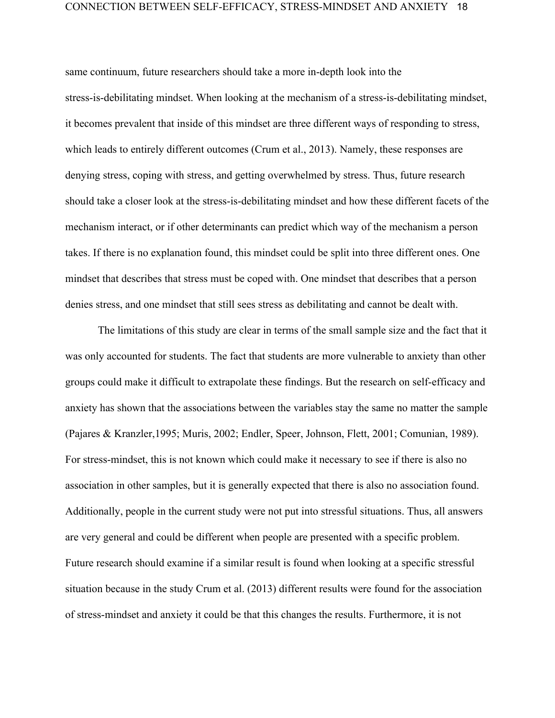same continuum, future researchers should take a more in-depth look into the stress-is-debilitating mindset. When looking at the mechanism of a stress-is-debilitating mindset, it becomes prevalent that inside of this mindset are three different ways of responding to stress, which leads to entirely different outcomes (Crum et al., 2013). Namely, these responses are denying stress, coping with stress, and getting overwhelmed by stress. Thus, future research should take a closer look at the stress-is-debilitating mindset and how these different facets of the mechanism interact, or if other determinants can predict which way of the mechanism a person takes. If there is no explanation found, this mindset could be split into three different ones. One mindset that describes that stress must be coped with. One mindset that describes that a person denies stress, and one mindset that still sees stress as debilitating and cannot be dealt with.

The limitations of this study are clear in terms of the small sample size and the fact that it was only accounted for students. The fact that students are more vulnerable to anxiety than other groups could make it difficult to extrapolate these findings. But the research on self-efficacy and anxiety has shown that the associations between the variables stay the same no matter the sample (Pajares & Kranzler,1995; Muris, 2002; Endler, Speer, Johnson, Flett, 2001; Comunian, 1989). For stress-mindset, this is not known which could make it necessary to see if there is also no association in other samples, but it is generally expected that there is also no association found. Additionally, people in the current study were not put into stressful situations. Thus, all answers are very general and could be different when people are presented with a specific problem. Future research should examine if a similar result is found when looking at a specific stressful situation because in the study Crum et al. (2013) different results were found for the association of stress-mindset and anxiety it could be that this changes the results. Furthermore, it is not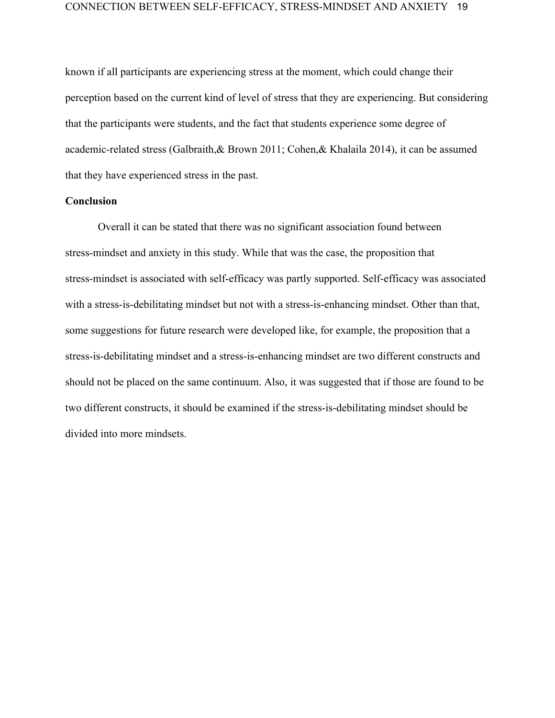known if all participants are experiencing stress at the moment, which could change their perception based on the current kind of level of stress that they are experiencing. But considering that the participants were students, and the fact that students experience some degree of academic-related stress (Galbraith,& Brown 2011; Cohen,& Khalaila 2014), it can be assumed that they have experienced stress in the past.

# **Conclusion**

Overall it can be stated that there was no significant association found between stress-mindset and anxiety in this study. While that was the case, the proposition that stress-mindset is associated with self-efficacy was partly supported. Self-efficacy was associated with a stress-is-debilitating mindset but not with a stress-is-enhancing mindset. Other than that, some suggestions for future research were developed like, for example, the proposition that a stress-is-debilitating mindset and a stress-is-enhancing mindset are two different constructs and should not be placed on the same continuum. Also, it was suggested that if those are found to be two different constructs, it should be examined if the stress-is-debilitating mindset should be divided into more mindsets.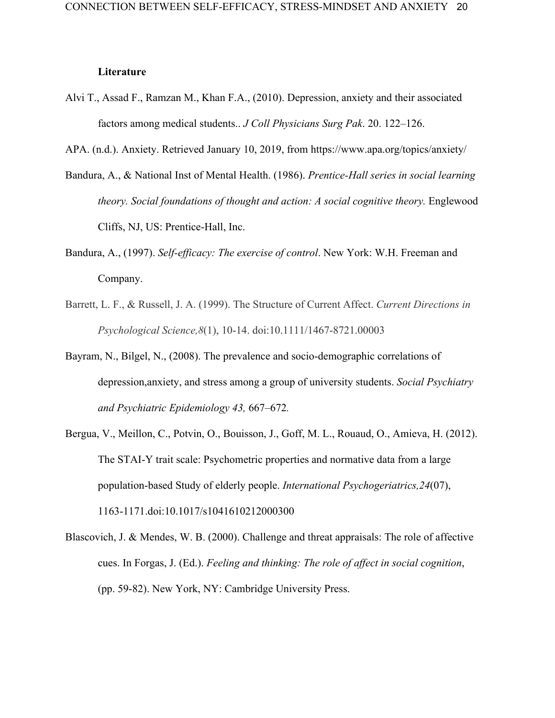## **Literature**

Alvi T., Assad F., Ramzan M., Khan F.A., (2010). Depression, anxiety and their associated factors among medical students.. *J Coll Physicians Surg Pak*. 20. 122–126.

APA. (n.d.). Anxiety. Retrieved January 10, 2019, from https://www.apa.org/topics/anxiety/

- Bandura, A., & National Inst of Mental Health. (1986). *Prentice-Hall series in social learning theory. Social foundations of thought and action: A social cognitive theory. Englewood* Cliffs, NJ, US: Prentice-Hall, Inc.
- Bandura, A., (1997). *Self-efficacy: The exercise of control*. New York: W.H. Freeman and Company.
- Barrett, L. F., & Russell, J. A. (1999). The Structure of Current Affect. *Current Directions in Psychological Science,8*(1), 10-14. doi:10.1111/1467-8721.00003
- Bayram, N., Bilgel, N., (2008). The prevalence and socio-demographic correlations of depression,anxiety, and stress among a group of university students. *Social Psychiatry and Psychiatric Epidemiology 43,* 667–672*.*
- Bergua, V., Meillon, C., Potvin, O., Bouisson, J., Goff, M. L., Rouaud, O., Amieva, H. (2012). The STAI-Y trait scale: Psychometric properties and normative data from a large population-based Study of elderly people. *International Psychogeriatrics,24*(07), 1163-1171.doi:10.1017/s1041610212000300
- Blascovich, J. & Mendes, W. B. (2000). Challenge and threat appraisals: The role of affective cues. In Forgas, J. (Ed.). *Feeling and thinking: The role of affect in social cognition*, (pp. 59-82). New York, NY: Cambridge University Press.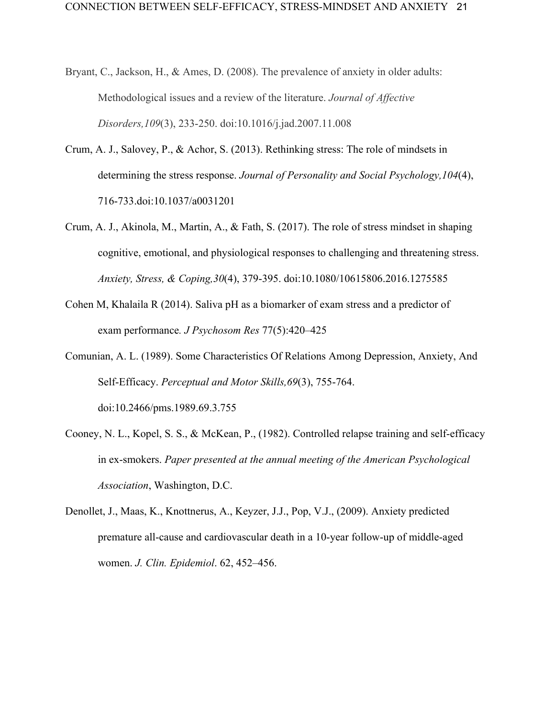- Bryant, C., Jackson, H., & Ames, D. (2008). The prevalence of anxiety in older adults: Methodological issues and a review of the literature. *Journal of Affective Disorders,109*(3), 233-250. doi:10.1016/j.jad.2007.11.008
- Crum, A. J., Salovey, P., & Achor, S. (2013). Rethinking stress: The role of mindsets in determining the stress response. *Journal of Personality and Social Psychology,104*(4), 716-733.doi:10.1037/a0031201
- Crum, A. J., Akinola, M., Martin, A., & Fath, S. (2017). The role of stress mindset in shaping cognitive, emotional, and physiological responses to challenging and threatening stress. *Anxiety, Stress, & Coping,30*(4), 379-395. doi:10.1080/10615806.2016.1275585
- Cohen M, Khalaila R (2014). Saliva pH as a biomarker of exam stress and a predictor of exam performance*. J Psychosom Res* 77(5):420–425
- Comunian, A. L. (1989). Some Characteristics Of Relations Among Depression, Anxiety, And Self-Efficacy. *Perceptual and Motor Skills,69*(3), 755-764. doi:10.2466/pms.1989.69.3.755
- Cooney, N. L., Kopel, S. S., & McKean, P., (1982). Controlled relapse training and self-efficacy in ex-smokers. *Paper presented at the annual meeting of the American Psychological Association*, Washington, D.C.
- Denollet, J., Maas, K., Knottnerus, A., Keyzer, J.J., Pop, V.J., (2009). Anxiety predicted premature all-cause and cardiovascular death in a 10-year follow-up of middle-aged women. *J. Clin. Epidemiol*. 62, 452–456.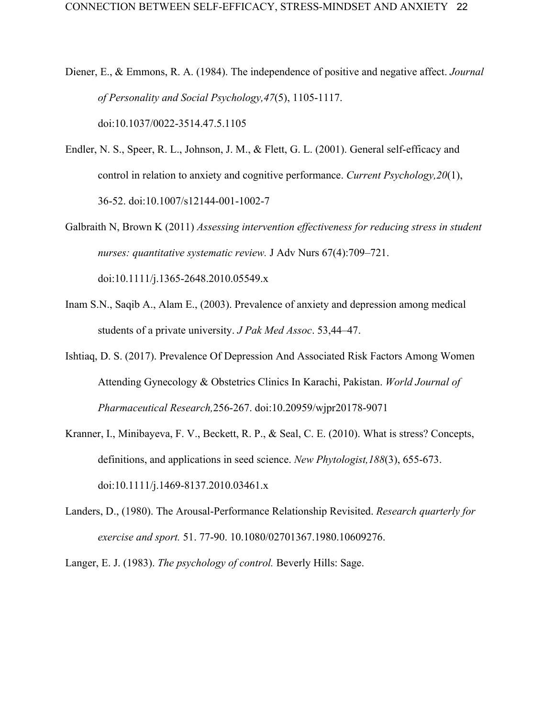- Diener, E., & Emmons, R. A. (1984). The independence of positive and negative affect. *Journal of Personality and Social Psychology,47*(5), 1105-1117. doi:10.1037/0022-3514.47.5.1105
- Endler, N. S., Speer, R. L., Johnson, J. M., & Flett, G. L. (2001). General self-efficacy and control in relation to anxiety and cognitive performance. *Current Psychology,20*(1), 36-52. doi:10.1007/s12144-001-1002-7
- Galbraith N, Brown K (2011) *Assessing intervention effectiveness for reducing stress in student nurses: quantitative systematic review.* J Adv Nurs 67(4):709–721. doi:10.1111/j.1365-2648.2010.05549.x
- Inam S.N., Saqib A., Alam E., (2003). Prevalence of anxiety and depression among medical students of a private university. *J Pak Med Assoc*. 53,44–47.
- Ishtiaq, D. S. (2017). Prevalence Of Depression And Associated Risk Factors Among Women Attending Gynecology & Obstetrics Clinics In Karachi, Pakistan. *World Journal of Pharmaceutical Research,*256-267. doi:10.20959/wjpr20178-9071
- Kranner, I., Minibayeva, F. V., Beckett, R. P., & Seal, C. E. (2010). What is stress? Concepts, definitions, and applications in seed science. *New Phytologist,188*(3), 655-673. doi:10.1111/j.1469-8137.2010.03461.x
- Landers, D., (1980). The Arousal-Performance Relationship Revisited. *Research quarterly for exercise and sport.* 51. 77-90. 10.1080/02701367.1980.10609276.

Langer, E. J. (1983). *The psychology of control.* Beverly Hills: Sage.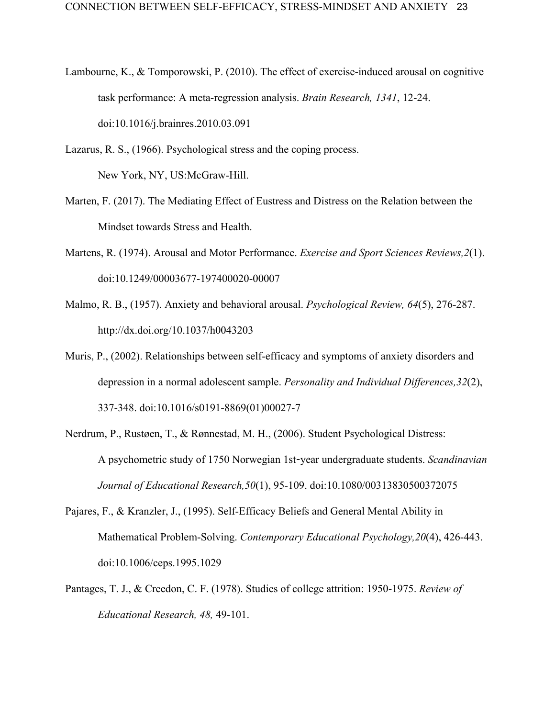- Lambourne, K., & Tomporowski, P. (2010). The effect of exercise-induced arousal on cognitive task performance: A meta-regression analysis. *Brain Research, 1341*, 12-24. doi:10.1016/j.brainres.2010.03.091
- Lazarus, R. S., (1966). Psychological stress and the coping process. New York, NY, US:McGraw-Hill.
- Marten, F. (2017). The Mediating Effect of Eustress and Distress on the Relation between the Mindset towards Stress and Health.
- Martens, R. (1974). Arousal and Motor Performance. *Exercise and Sport Sciences Reviews,2*(1). doi:10.1249/00003677-197400020-00007
- Malmo, R. B., (1957). Anxiety and behavioral arousal. *Psychological Review, 64*(5), 276-287. http://dx.doi.org/10.1037/h0043203
- Muris, P., (2002). Relationships between self-efficacy and symptoms of anxiety disorders and depression in a normal adolescent sample. *Personality and Individual Differences,32*(2), 337-348. doi:10.1016/s0191-8869(01)00027-7
- Nerdrum, P., Rustøen, T., & Rønnestad, M. H., (2006). Student Psychological Distress: A psychometric study of 1750 Norwegian 1st-year undergraduate students. *Scandinavian Journal of Educational Research,50*(1), 95-109. doi:10.1080/00313830500372075
- Pajares, F., & Kranzler, J., (1995). Self-Efficacy Beliefs and General Mental Ability in Mathematical Problem-Solving. *Contemporary Educational Psychology,20*(4), 426-443. doi:10.1006/ceps.1995.1029
- Pantages, T. J., & Creedon, C. F. (1978). Studies of college attrition: 1950-1975. *Review of Educational Research, 48,* 49-101.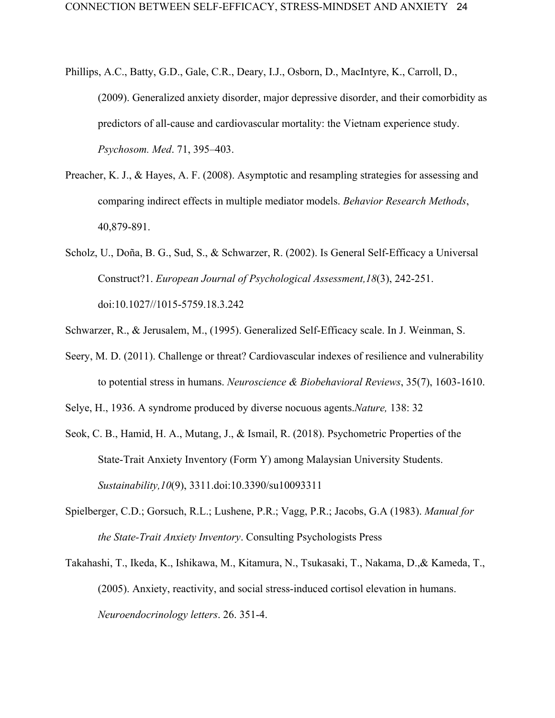- Phillips, A.C., Batty, G.D., Gale, C.R., Deary, I.J., Osborn, D., MacIntyre, K., Carroll, D., (2009). Generalized anxiety disorder, major depressive disorder, and their comorbidity as predictors of all-cause and cardiovascular mortality: the Vietnam experience study. *Psychosom. Med*. 71, 395–403.
- Preacher, K. J., & Hayes, A. F. (2008). Asymptotic and resampling strategies for assessing and comparing indirect effects in multiple mediator models. *Behavior Research Methods*, 40,879-891.
- Scholz, U., Doña, B. G., Sud, S., & Schwarzer, R. (2002). Is General Self-Efficacy a Universal Construct?1. *European Journal of Psychological Assessment,18*(3), 242-251. doi:10.1027//1015-5759.18.3.242
- Schwarzer, R., & Jerusalem, M., (1995). Generalized Self-Efficacy scale. In J. Weinman, S.
- Seery, M. D. (2011). Challenge or threat? Cardiovascular indexes of resilience and vulnerability to potential stress in humans. *Neuroscience & Biobehavioral Reviews*, 35(7), 1603-1610.

Selye, H., 1936. A syndrome produced by diverse nocuous agents.*Nature,* 138: 32

- Seok, C. B., Hamid, H. A., Mutang, J., & Ismail, R. (2018). Psychometric Properties of the State-Trait Anxiety Inventory (Form Y) among Malaysian University Students. *Sustainability,10*(9), 3311.doi:10.3390/su10093311
- Spielberger, C.D.; Gorsuch, R.L.; Lushene, P.R.; Vagg, P.R.; Jacobs, G.A (1983). *Manual for the State-Trait Anxiety Inventory*. Consulting Psychologists Press
- Takahashi, T., Ikeda, K., Ishikawa, M., Kitamura, N., Tsukasaki, T., Nakama, D.,& Kameda, T., (2005). Anxiety, reactivity, and social stress-induced cortisol elevation in humans. *Neuroendocrinology letters*. 26. 351-4.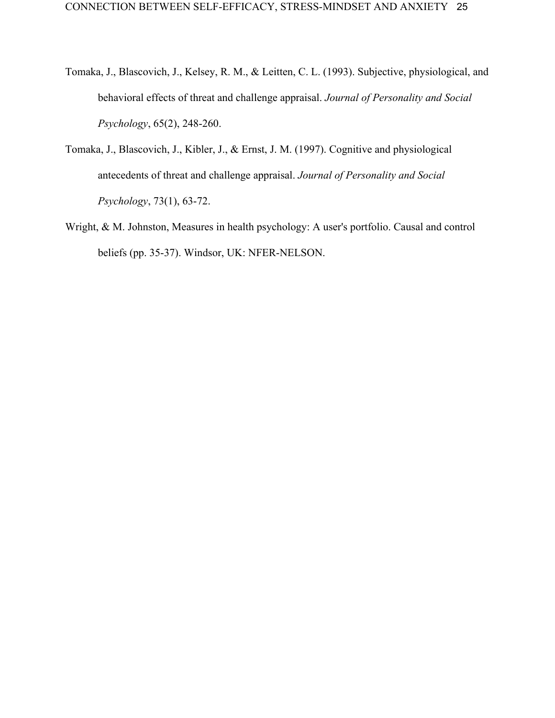- Tomaka, J., Blascovich, J., Kelsey, R. M., & Leitten, C. L. (1993). Subjective, physiological, and behavioral effects of threat and challenge appraisal. *Journal of Personality and Social Psychology*, 65(2), 248-260.
- Tomaka, J., Blascovich, J., Kibler, J., & Ernst, J. M. (1997). Cognitive and physiological antecedents of threat and challenge appraisal. *Journal of Personality and Social Psychology*, 73(1), 63-72.
- Wright, & M. Johnston, Measures in health psychology: A user's portfolio. Causal and control beliefs (pp. 35-37). Windsor, UK: NFER-NELSON.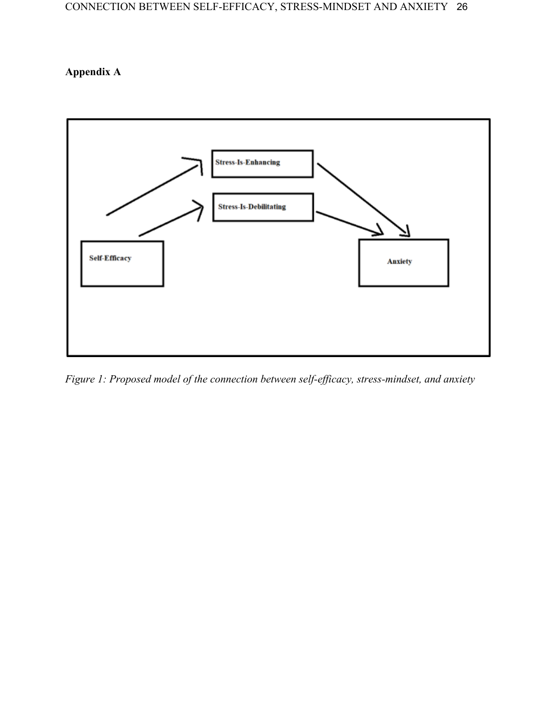# **Appendix A**



*Figure 1: Proposed model of the connection between self-efficacy, stress-mindset, and anxiety*